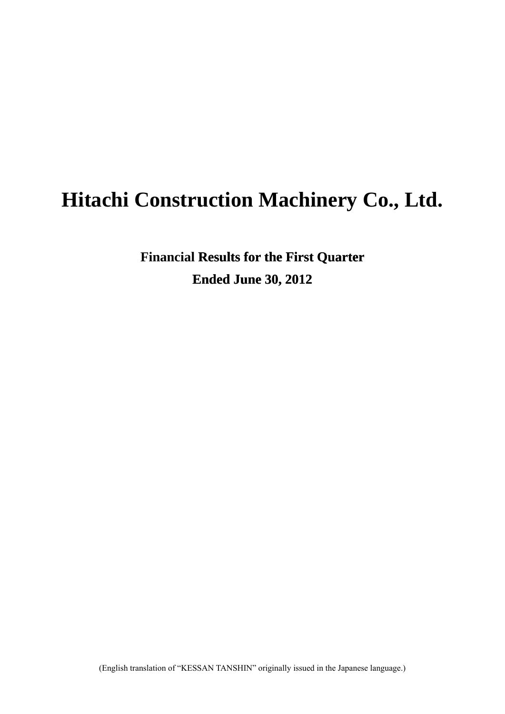# **Hitachi Construction Machinery Co., Ltd.**

**Financial Results for the First Quarter Ended June 30, 2012**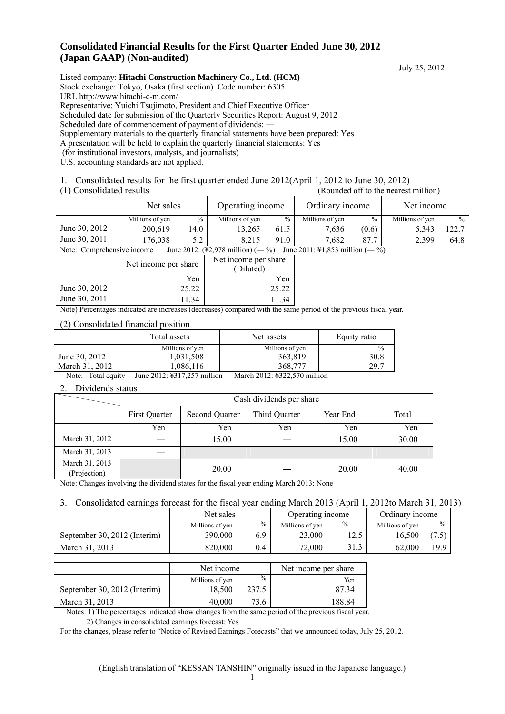#### **Consolidated Financial Results for the First Quarter Ended June 30, 2012 (Japan GAAP) (Non-audited)**

July 25, 2012

Listed company: **Hitachi Construction Machinery Co., Ltd. (HCM)** Stock exchange: Tokyo, Osaka (first section) Code number: 6305 URL http://www.hitachi-c-m.com/ Representative: Yuichi Tsujimoto, President and Chief Executive Officer Scheduled date for submission of the Quarterly Securities Report: August 9, 2012 Scheduled date of commencement of payment of dividends:  $-$ Supplementary materials to the quarterly financial statements have been prepared: Yes A presentation will be held to explain the quarterly financial statements: Yes (for institutional investors, analysts, and journalists) U.S. accounting standards are not applied.

1. Consolidated results for the first quarter ended June 2012(April 1, 2012 to June 30, 2012)

(1) Consolidated results (Rounded off to the nearest million)

|                                                                                                                       | Net sales       |        | Operating income |      | Ordinary income |               | Net income      |               |
|-----------------------------------------------------------------------------------------------------------------------|-----------------|--------|------------------|------|-----------------|---------------|-----------------|---------------|
|                                                                                                                       | Millions of yen | $\%$   | Millions of yen  | $\%$ | Millions of yen | $\frac{0}{0}$ | Millions of yen | $\frac{0}{0}$ |
| June 30, 2012                                                                                                         | 200.619         | 14.0 i | 13.265           | 61.5 | 7.636           | (0.6)         | 5,343           | 122.7         |
| June 30, 2011                                                                                                         | 176,038         | 5.2    | 8.215            | 91.0 | 7.682           | 87.7          | 2.399           | 64.8          |
| June 2011: \\$1,853 million $(-\%)$<br>Note: Comprehensive income<br>June 2012: $(\frac{12.978}{2})$ million) $(-\%)$ |                 |        |                  |      |                 |               |                 |               |
|                                                                                                                       |                 |        |                  |      |                 |               |                 |               |

|               | Net income per share | Net income per share<br>(Diluted) |
|---------------|----------------------|-----------------------------------|
|               | Yen                  | Yen                               |
| June 30, 2012 | 25.22                | 25.22                             |
| June 30, 2011 | 11.34                |                                   |

Note) Percentages indicated are increases (decreases) compared with the same period of the previous fiscal year.

#### (2) Consolidated financial position

|                | Total assets    | Net assets      | Equity ratio  |
|----------------|-----------------|-----------------|---------------|
|                | Millions of yen | Millions of yen | $\frac{0}{0}$ |
| June 30, 2012  | 1,031,508       | 363,819         | 30.8          |
| March 31, 2012 | 1.086.116       | 368,777         | 29.7          |

Note: Total equity June 2012: ¥317,257 million March 2012: ¥322,570 million

#### 2. Dividends status

|                                | Cash dividends per share |                       |               |          |       |  |
|--------------------------------|--------------------------|-----------------------|---------------|----------|-------|--|
|                                | First Quarter            | <b>Second Quarter</b> | Third Quarter | Year End | Total |  |
|                                | Yen                      | Yen                   | Yen           | Yen      | Yen   |  |
| March 31, 2012                 |                          | 15.00                 |               | 15.00    | 30.00 |  |
| March 31, 2013                 |                          |                       |               |          |       |  |
| March 31, 2013<br>(Projection) |                          | 20.00                 |               | 20.00    | 40.00 |  |

Note: Changes involving the dividend states for the fiscal year ending March 2013: None

#### 3. Consolidated earnings forecast for the fiscal year ending March 2013 (April 1, 2012to March 31, 2013)

|                              | Net sales       |     | Operating income |               | Ordinary income |               |
|------------------------------|-----------------|-----|------------------|---------------|-----------------|---------------|
|                              | Millions of yen | %   | Millions of yen  | $\frac{0}{0}$ | Millions of yen | $\frac{0}{0}$ |
| September 30, 2012 (Interim) | 390,000         | 6.9 | 23,000           | 12.5          | 16.500          |               |
| March 31, 2013               | 820,000         | 0.4 | 72,000           | 31.3          | 62,000          | 19.9          |

|                              | Net income      |               | Net income per share |
|------------------------------|-----------------|---------------|----------------------|
|                              | Millions of yen | $\frac{0}{0}$ | Yen                  |
| September 30, 2012 (Interim) | 18.500          | 237.5         | 8734                 |
| March 31, 2013               | 40,000          | 73.6          | 188.84               |

Notes: 1) The percentages indicated show changes from the same period of the previous fiscal year.

2) Changes in consolidated earnings forecast: Yes

For the changes, please refer to "Notice of Revised Earnings Forecasts" that we announced today, July 25, 2012.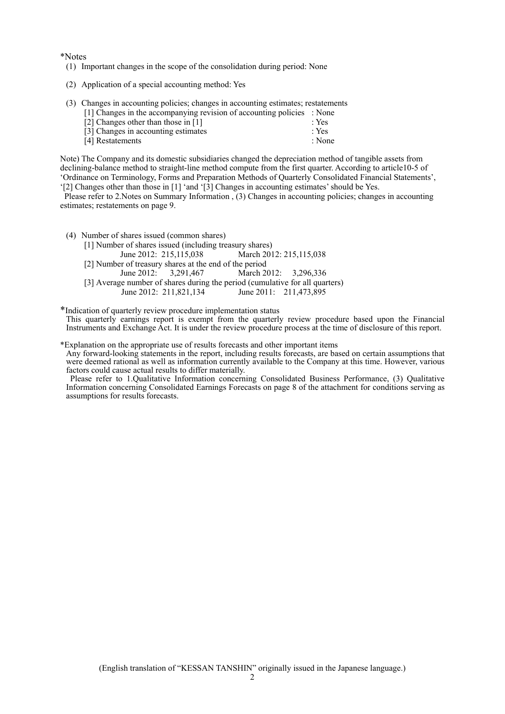\*Notes

- (1) Important changes in the scope of the consolidation during period: None
- (2) Application of a special accounting method: Yes
- (3) Changes in accounting policies; changes in accounting estimates; restatements

| [1] Changes in the accompanying revision of accounting policies : None |                  |
|------------------------------------------------------------------------|------------------|
| [2] Changes other than those in [1]                                    | $\therefore$ Yes |
| [3] Changes in accounting estimates                                    | : Yes            |
| [4] Restatements                                                       | : None           |

Note) The Company and its domestic subsidiaries changed the depreciation method of tangible assets from declining-balance method to straight-line method compute from the first quarter. According to article10-5 of 'Ordinance on Terminology, Forms and Preparation Methods of Quarterly Consolidated Financial Statements', '[2] Changes other than those in [1] 'and '[3] Changes in accounting estimates' should be Yes.

Please refer to 2.Notes on Summary Information , (3) Changes in accounting policies; changes in accounting estimates; restatements on page 9.

(4) Number of shares issued (common shares)

| [1] Number of shares issued (including treasury shares)                      |                           |
|------------------------------------------------------------------------------|---------------------------|
| June 2012: 215,115,038                                                       | March 2012: 215, 115, 038 |
| [2] Number of treasury shares at the end of the period                       |                           |
| June 2012: $3.291.467$                                                       | March 2012: 3,296,336     |
| [3] Average number of shares during the period (cumulative for all quarters) |                           |
| June 2012: 211,821,134                                                       | June 2011: 211,473,895    |

\*Indication of quarterly review procedure implementation status

This quarterly earnings report is exempt from the quarterly review procedure based upon the Financial Instruments and Exchange Act. It is under the review procedure process at the time of disclosure of this report.

\*Explanation on the appropriate use of results forecasts and other important items

Any forward-looking statements in the report, including results forecasts, are based on certain assumptions that were deemed rational as well as information currently available to the Company at this time. However, various factors could cause actual results to differ materially.

Please refer to 1.Qualitative Information concerning Consolidated Business Performance, (3) Qualitative Information concerning Consolidated Earnings Forecasts on page 8 of the attachment for conditions serving as assumptions for results forecasts.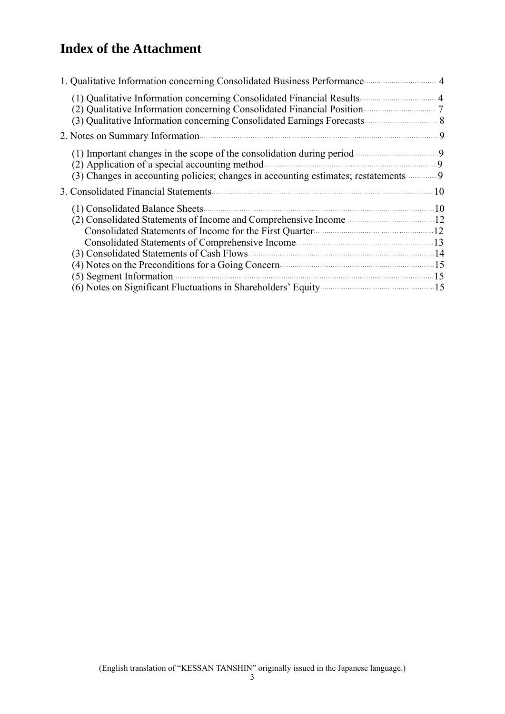# **Index of the Attachment**

| (2) Qualitative Information concerning Consolidated Financial Position                    |  |
|-------------------------------------------------------------------------------------------|--|
|                                                                                           |  |
| (3) Changes in accounting policies; changes in accounting estimates; restatements 9       |  |
|                                                                                           |  |
| (4) Notes on the Preconditions for a Going Concern (2008) 2016 15                         |  |
| (6) Notes on Significant Fluctuations in Shareholders' Equity <b>Constant Contains 15</b> |  |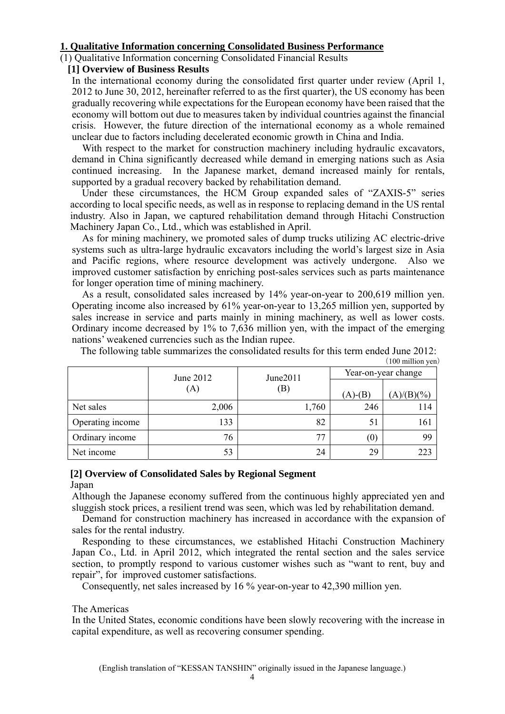# **1. Qualitative Information concerning Consolidated Business Performance**

#### (1) Qualitative Information concerning Consolidated Financial Results

#### **[1] Overview of Business Results**

In the international economy during the consolidated first quarter under review (April 1, 2012 to June 30, 2012, hereinafter referred to as the first quarter), the US economy has been gradually recovering while expectations for the European economy have been raised that the economy will bottom out due to measures taken by individual countries against the financial crisis. However, the future direction of the international economy as a whole remained unclear due to factors including decelerated economic growth in China and India.

With respect to the market for construction machinery including hydraulic excavators, demand in China significantly decreased while demand in emerging nations such as Asia continued increasing. In the Japanese market, demand increased mainly for rentals, supported by a gradual recovery backed by rehabilitation demand.

Under these circumstances, the HCM Group expanded sales of "ZAXIS-5" series according to local specific needs, as well as in response to replacing demand in the US rental industry. Also in Japan, we captured rehabilitation demand through Hitachi Construction Machinery Japan Co., Ltd., which was established in April.

As for mining machinery, we promoted sales of dump trucks utilizing AC electric-drive systems such as ultra-large hydraulic excavators including the world's largest size in Asia and Pacific regions, where resource development was actively undergone. Also we improved customer satisfaction by enriching post-sales services such as parts maintenance for longer operation time of mining machinery.

As a result, consolidated sales increased by 14% year-on-year to 200,619 million yen. Operating income also increased by 61% year-on-year to 13,265 million yen, supported by sales increase in service and parts mainly in mining machinery, as well as lower costs. Ordinary income decreased by 1% to 7,636 million yen, with the impact of the emerging nations' weakened currencies such as the Indian rupee.

|                  |           |          |                     | $(100 \text{ million yen})$ |  |
|------------------|-----------|----------|---------------------|-----------------------------|--|
|                  | June 2012 | June2011 | Year-on-year change |                             |  |
|                  | (A)       | (B)      | $(A)$ - $(B)$       | $(A)/(B)(\%)$               |  |
| Net sales        | 2,006     | 1,760    | 246                 | 114                         |  |
| Operating income | 133       | 82       | 51                  | 161                         |  |
| Ordinary income  | 76        | 77       | (0)                 | 99                          |  |
| Net income       | 53        | 24       | 29                  | 223                         |  |

The following table summarizes the consolidated results for this term ended June 2012:

#### **[2] Overview of Consolidated Sales by Regional Segment**  Japan

Although the Japanese economy suffered from the continuous highly appreciated yen and sluggish stock prices, a resilient trend was seen, which was led by rehabilitation demand.

Demand for construction machinery has increased in accordance with the expansion of sales for the rental industry.

Responding to these circumstances, we established Hitachi Construction Machinery Japan Co., Ltd. in April 2012, which integrated the rental section and the sales service section, to promptly respond to various customer wishes such as "want to rent, buy and repair", for improved customer satisfactions.

Consequently, net sales increased by 16 % year-on-year to 42,390 million yen.

#### The Americas

In the United States, economic conditions have been slowly recovering with the increase in capital expenditure, as well as recovering consumer spending.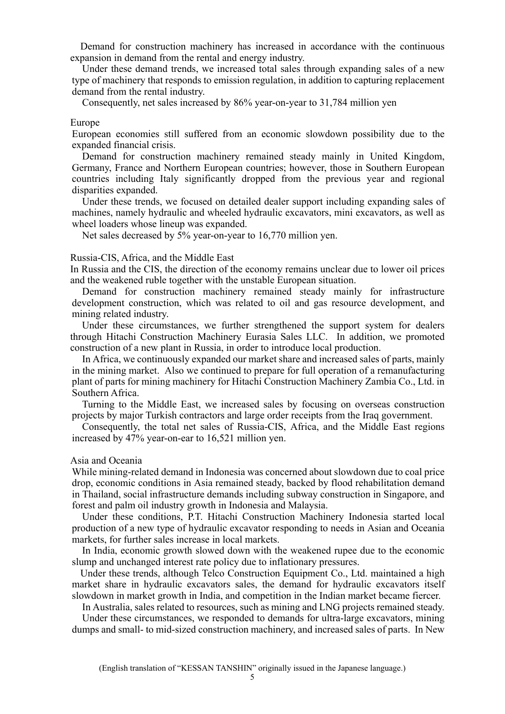Demand for construction machinery has increased in accordance with the continuous expansion in demand from the rental and energy industry.

Under these demand trends, we increased total sales through expanding sales of a new type of machinery that responds to emission regulation, in addition to capturing replacement demand from the rental industry.

Consequently, net sales increased by 86% year-on-year to 31,784 million yen

#### Europe

European economies still suffered from an economic slowdown possibility due to the expanded financial crisis.

Demand for construction machinery remained steady mainly in United Kingdom, Germany, France and Northern European countries; however, those in Southern European countries including Italy significantly dropped from the previous year and regional disparities expanded.

Under these trends, we focused on detailed dealer support including expanding sales of machines, namely hydraulic and wheeled hydraulic excavators, mini excavators, as well as wheel loaders whose lineup was expanded.

Net sales decreased by 5% year-on-year to 16,770 million yen.

#### Russia-CIS, Africa, and the Middle East

In Russia and the CIS, the direction of the economy remains unclear due to lower oil prices and the weakened ruble together with the unstable European situation.

Demand for construction machinery remained steady mainly for infrastructure development construction, which was related to oil and gas resource development, and mining related industry.

Under these circumstances, we further strengthened the support system for dealers through Hitachi Construction Machinery Eurasia Sales LLC. In addition, we promoted construction of a new plant in Russia, in order to introduce local production.

In Africa, we continuously expanded our market share and increased sales of parts, mainly in the mining market. Also we continued to prepare for full operation of a remanufacturing plant of parts for mining machinery for Hitachi Construction Machinery Zambia Co., Ltd. in Southern Africa.

Turning to the Middle East, we increased sales by focusing on overseas construction projects by major Turkish contractors and large order receipts from the Iraq government.

Consequently, the total net sales of Russia-CIS, Africa, and the Middle East regions increased by 47% year-on-ear to 16,521 million yen.

#### Asia and Oceania

While mining-related demand in Indonesia was concerned about slowdown due to coal price drop, economic conditions in Asia remained steady, backed by flood rehabilitation demand in Thailand, social infrastructure demands including subway construction in Singapore, and forest and palm oil industry growth in Indonesia and Malaysia.

Under these conditions, P.T. Hitachi Construction Machinery Indonesia started local production of a new type of hydraulic excavator responding to needs in Asian and Oceania markets, for further sales increase in local markets.

In India, economic growth slowed down with the weakened rupee due to the economic slump and unchanged interest rate policy due to inflationary pressures.

Under these trends, although Telco Construction Equipment Co., Ltd. maintained a high market share in hydraulic excavators sales, the demand for hydraulic excavators itself slowdown in market growth in India, and competition in the Indian market became fiercer.

In Australia, sales related to resources, such as mining and LNG projects remained steady. Under these circumstances, we responded to demands for ultra-large excavators, mining dumps and small- to mid-sized construction machinery, and increased sales of parts. In New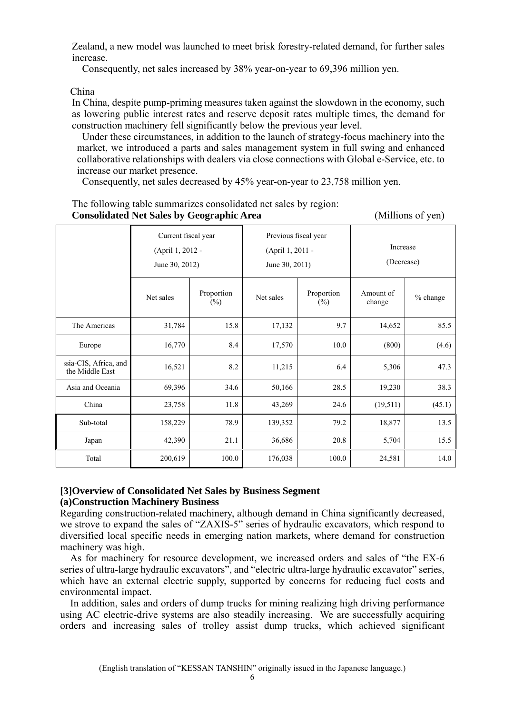Zealand, a new model was launched to meet brisk forestry-related demand, for further sales increase.

Consequently, net sales increased by 38% year-on-year to 69,396 million yen.

China

In China, despite pump-priming measures taken against the slowdown in the economy, such as lowering public interest rates and reserve deposit rates multiple times, the demand for construction machinery fell significantly below the previous year level.

Under these circumstances, in addition to the launch of strategy-focus machinery into the market, we introduced a parts and sales management system in full swing and enhanced collaborative relationships with dealers via close connections with Global e-Service, etc. to increase our market presence.

Consequently, net sales decreased by 45% year-on-year to 23,758 million yen.

|                                          | Current fiscal year<br>(April 1, 2012 -<br>June 30, 2012) |                      | Previous fiscal year<br>(April 1, 2011 -<br>June 30, 2011) |                      | Increase<br>(Decrease) |          |  |
|------------------------------------------|-----------------------------------------------------------|----------------------|------------------------------------------------------------|----------------------|------------------------|----------|--|
|                                          | Net sales                                                 | Proportion<br>$(\%)$ | Net sales                                                  | Proportion<br>$(\%)$ | Amount of<br>change    | % change |  |
| The Americas                             | 31,784                                                    | 15.8                 | 17,132                                                     | 9.7                  | 14,652                 | 85.5     |  |
| Europe                                   | 16,770                                                    | 8.4                  | 17,570                                                     | 10.0                 | (800)                  | (4.6)    |  |
| ssia-CIS, Africa, and<br>the Middle East | 16,521                                                    | 8.2                  | 11,215                                                     | 6.4                  | 5,306                  | 47.3     |  |
| Asia and Oceania                         | 69,396                                                    | 34.6                 | 50,166                                                     | 28.5                 | 19,230                 | 38.3     |  |
| China                                    | 23,758                                                    | 11.8                 | 43,269                                                     | 24.6                 | (19, 511)              | (45.1)   |  |
| Sub-total                                | 158,229                                                   | 78.9                 | 139,352                                                    | 79.2                 | 18,877                 | 13.5     |  |
| Japan                                    | 42,390                                                    | 21.1                 | 36,686                                                     | 20.8                 | 5,704                  | 15.5     |  |
| Total                                    | 200,619                                                   | 100.0                | 176,038                                                    | 100.0                | 24,581                 | 14.0     |  |

The following table summarizes consolidated net sales by region: **Consolidated Net Sales by Geographic Area** (Millions of yen)

#### **[3]Overview of Consolidated Net Sales by Business Segment (a)Construction Machinery Business**

Regarding construction-related machinery, although demand in China significantly decreased, we strove to expand the sales of "ZAXIS-5" series of hydraulic excavators, which respond to diversified local specific needs in emerging nation markets, where demand for construction machinery was high.

As for machinery for resource development, we increased orders and sales of "the EX-6 series of ultra-large hydraulic excavators", and "electric ultra-large hydraulic excavator" series, which have an external electric supply, supported by concerns for reducing fuel costs and environmental impact.

In addition, sales and orders of dump trucks for mining realizing high driving performance using AC electric-drive systems are also steadily increasing. We are successfully acquiring orders and increasing sales of trolley assist dump trucks, which achieved significant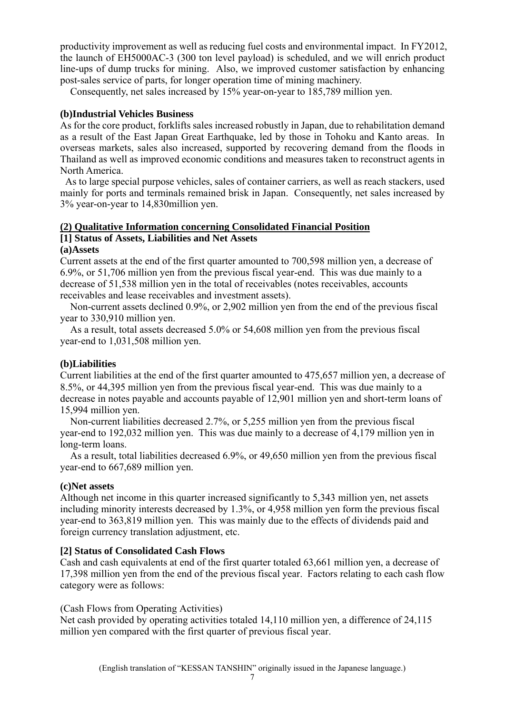productivity improvement as well as reducing fuel costs and environmental impact. In FY2012, the launch of EH5000AC-3 (300 ton level payload) is scheduled, and we will enrich product line-ups of dump trucks for mining. Also, we improved customer satisfaction by enhancing post-sales service of parts, for longer operation time of mining machinery.

Consequently, net sales increased by 15% year-on-year to 185,789 million yen.

# **(b)Industrial Vehicles Business**

As for the core product, forklifts sales increased robustly in Japan, due to rehabilitation demand as a result of the East Japan Great Earthquake, led by those in Tohoku and Kanto areas. In overseas markets, sales also increased, supported by recovering demand from the floods in Thailand as well as improved economic conditions and measures taken to reconstruct agents in North America.

As to large special purpose vehicles, sales of container carriers, as well as reach stackers, used mainly for ports and terminals remained brisk in Japan. Consequently, net sales increased by 3% year-on-year to 14,830million yen.

# **(2) Qualitative Information concerning Consolidated Financial Position [1] Status of Assets, Liabilities and Net Assets**

#### **(a)Assets**

Current assets at the end of the first quarter amounted to 700,598 million yen, a decrease of 6.9%, or 51,706 million yen from the previous fiscal year-end. This was due mainly to a decrease of 51,538 million yen in the total of receivables (notes receivables, accounts receivables and lease receivables and investment assets).

Non-current assets declined 0.9%, or 2,902 million yen from the end of the previous fiscal year to 330,910 million yen.

As a result, total assets decreased 5.0% or 54,608 million yen from the previous fiscal year-end to 1,031,508 million yen.

#### **(b)Liabilities**

Current liabilities at the end of the first quarter amounted to 475,657 million yen, a decrease of 8.5%, or 44,395 million yen from the previous fiscal year-end. This was due mainly to a decrease in notes payable and accounts payable of 12,901 million yen and short-term loans of 15,994 million yen.

Non-current liabilities decreased 2.7%, or 5,255 million yen from the previous fiscal year-end to 192,032 million yen. This was due mainly to a decrease of 4,179 million yen in long-term loans.

As a result, total liabilities decreased 6.9%, or 49,650 million yen from the previous fiscal year-end to 667,689 million yen.

#### **(c)Net assets**

Although net income in this quarter increased significantly to 5,343 million yen, net assets including minority interests decreased by 1.3%, or 4,958 million yen form the previous fiscal year-end to 363,819 million yen. This was mainly due to the effects of dividends paid and foreign currency translation adjustment, etc.  $\tilde{a}$ 

# **[2] Status of Consolidated Cash Flows**

Cash and cash equivalents at end of the first quarter totaled 63,661 million yen, a decrease of 17,398 million yen from the end of the previous fiscal year. Factors relating to each cash flow category were as follows:

#### (Cash Flows from Operating Activities)

Net cash provided by operating activities totaled 14,110 million yen, a difference of 24,115 million yen compared with the first quarter of previous fiscal year.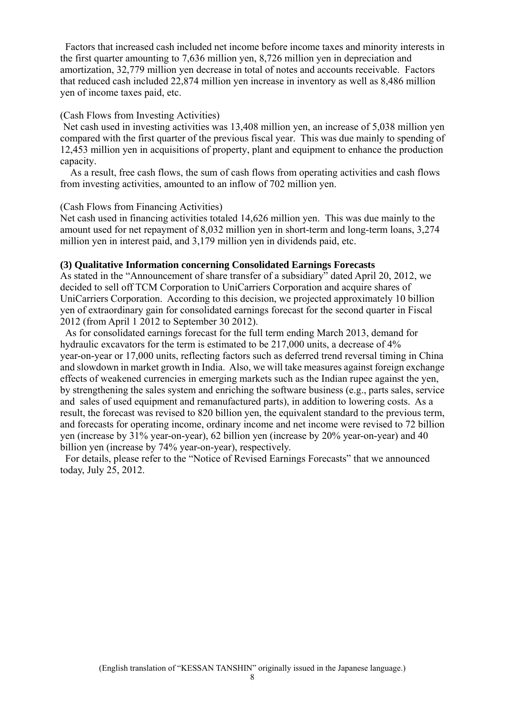Factors that increased cash included net income before income taxes and minority interests in the first quarter amounting to 7,636 million yen, 8,726 million yen in depreciation and amortization, 32,779 million yen decrease in total of notes and accounts receivable. Factors that reduced cash included 22,874 million yen increase in inventory as well as 8,486 million yen of income taxes paid, etc.

#### (Cash Flows from Investing Activities)

Net cash used in investing activities was 13,408 million yen, an increase of 5,038 million yen compared with the first quarter of the previous fiscal year. This was due mainly to spending of 12,453 million yen in acquisitions of property, plant and equipment to enhance the production capacity.

As a result, free cash flows, the sum of cash flows from operating activities and cash flows from investing activities, amounted to an inflow of 702 million yen.

#### (Cash Flows from Financing Activities)

Net cash used in financing activities totaled 14,626 million yen. This was due mainly to the amount used for net repayment of 8,032 million yen in short-term and long-term loans, 3,274 million yen in interest paid, and 3,179 million yen in dividends paid, etc.

#### **(3) Qualitative Information concerning Consolidated Earnings Forecasts**

As stated in the "Announcement of share transfer of a subsidiary" dated April 20, 2012, we decided to sell off TCM Corporation to UniCarriers Corporation and acquire shares of UniCarriers Corporation. According to this decision, we projected approximately 10 billion yen of extraordinary gain for consolidated earnings forecast for the second quarter in Fiscal 2012 (from April 1 2012 to September 30 2012).

As for consolidated earnings forecast for the full term ending March 2013, demand for hydraulic excavators for the term is estimated to be 217,000 units, a decrease of 4% year-on-year or 17,000 units, reflecting factors such as deferred trend reversal timing in China and slowdown in market growth in India. Also, we will take measures against foreign exchange effects of weakened currencies in emerging markets such as the Indian rupee against the yen, by strengthening the sales system and enriching the software business (e.g., parts sales, service and sales of used equipment and remanufactured parts), in addition to lowering costs. As a result, the forecast was revised to 820 billion yen, the equivalent standard to the previous term, and forecasts for operating income, ordinary income and net income were revised to 72 billion yen (increase by 31% year-on-year), 62 billion yen (increase by 20% year-on-year) and 40 billion yen (increase by 74% year-on-year), respectively.

For details, please refer to the "Notice of Revised Earnings Forecasts" that we announced today, July 25, 2012.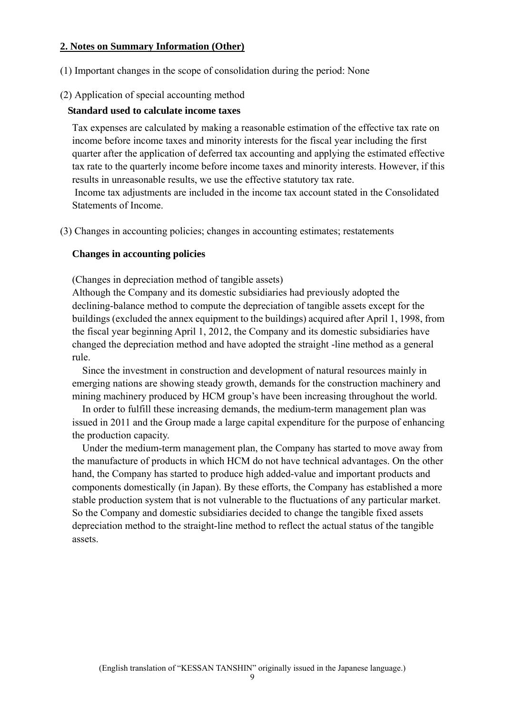# **2. Notes on Summary Information (Other)**

(1) Important changes in the scope of consolidation during the period: None

# (2) Application of special accounting method

# **Standard used to calculate income taxes**

Tax expenses are calculated by making a reasonable estimation of the effective tax rate on income before income taxes and minority interests for the fiscal year including the first quarter after the application of deferred tax accounting and applying the estimated effective tax rate to the quarterly income before income taxes and minority interests. However, if this results in unreasonable results, we use the effective statutory tax rate.

 Income tax adjustments are included in the income tax account stated in the Consolidated Statements of Income.

(3) Changes in accounting policies; changes in accounting estimates; restatements

# **Changes in accounting policies**

(Changes in depreciation method of tangible assets)

Although the Company and its domestic subsidiaries had previously adopted the declining-balance method to compute the depreciation of tangible assets except for the buildings (excluded the annex equipment to the buildings) acquired after April 1, 1998, from the fiscal year beginning April 1, 2012, the Company and its domestic subsidiaries have changed the depreciation method and have adopted the straight -line method as a general rule.

Since the investment in construction and development of natural resources mainly in emerging nations are showing steady growth, demands for the construction machinery and mining machinery produced by HCM group's have been increasing throughout the world.

In order to fulfill these increasing demands, the medium-term management plan was issued in 2011 and the Group made a large capital expenditure for the purpose of enhancing the production capacity.

Under the medium-term management plan, the Company has started to move away from the manufacture of products in which HCM do not have technical advantages. On the other hand, the Company has started to produce high added-value and important products and components domestically (in Japan). By these efforts, the Company has established a more stable production system that is not vulnerable to the fluctuations of any particular market. So the Company and domestic subsidiaries decided to change the tangible fixed assets depreciation method to the straight-line method to reflect the actual status of the tangible assets.

 $\Omega$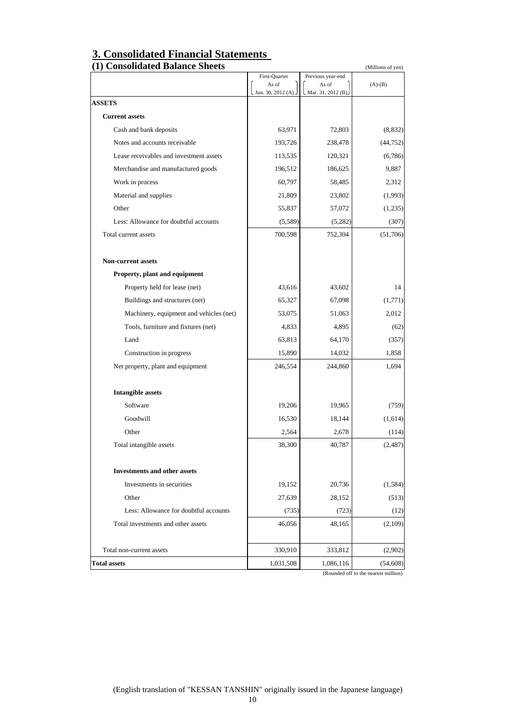| 3. Consolidated Financial Statements |
|--------------------------------------|
| (1) Consolidated Ralance Sheets      |

| First-Quarter<br>As of<br>Jun. 30, 2012 (A)<br><b>ASSETS</b><br><b>Current assets</b><br>63,971<br>Cash and bank deposits<br>Notes and accounts receivable<br>193,726<br>Lease receivables and investment assets<br>113,535<br>Merchandise and manufactured goods<br>196,512<br>Work in process<br>60,797<br>Material and supplies<br>21,809<br>Other<br>55,837<br>Less: Allowance for doubtful accounts<br>(5,589)<br>700,598<br>Total current assets<br><b>Non-current assets</b><br>Property, plant and equipment<br>43,616<br>Property held for lease (net)<br>65,327<br>Buildings and structures (net)<br>Machinery, equipment and vehicles (net)<br>53,075<br>Tools, furniture and fixtures (net)<br>4,833<br>Land<br>63,813<br>Construction in progress<br>15,890<br>Net property, plant and equipment<br>246,554<br><b>Intangible assets</b><br>Software<br>19,206<br>Goodwill<br>16,530<br>Other<br>2,564<br>Total intangible assets<br>38,300 | Previous year-end<br>As of<br>Mar. 31, 2012 (B).<br>72,803<br>238,478<br>120,321 | $(A)-(B)$ |
|---------------------------------------------------------------------------------------------------------------------------------------------------------------------------------------------------------------------------------------------------------------------------------------------------------------------------------------------------------------------------------------------------------------------------------------------------------------------------------------------------------------------------------------------------------------------------------------------------------------------------------------------------------------------------------------------------------------------------------------------------------------------------------------------------------------------------------------------------------------------------------------------------------------------------------------------------------|----------------------------------------------------------------------------------|-----------|
|                                                                                                                                                                                                                                                                                                                                                                                                                                                                                                                                                                                                                                                                                                                                                                                                                                                                                                                                                         |                                                                                  |           |
|                                                                                                                                                                                                                                                                                                                                                                                                                                                                                                                                                                                                                                                                                                                                                                                                                                                                                                                                                         |                                                                                  |           |
|                                                                                                                                                                                                                                                                                                                                                                                                                                                                                                                                                                                                                                                                                                                                                                                                                                                                                                                                                         |                                                                                  |           |
|                                                                                                                                                                                                                                                                                                                                                                                                                                                                                                                                                                                                                                                                                                                                                                                                                                                                                                                                                         |                                                                                  |           |
|                                                                                                                                                                                                                                                                                                                                                                                                                                                                                                                                                                                                                                                                                                                                                                                                                                                                                                                                                         |                                                                                  | (8, 832)  |
|                                                                                                                                                                                                                                                                                                                                                                                                                                                                                                                                                                                                                                                                                                                                                                                                                                                                                                                                                         |                                                                                  | (44, 752) |
|                                                                                                                                                                                                                                                                                                                                                                                                                                                                                                                                                                                                                                                                                                                                                                                                                                                                                                                                                         |                                                                                  | (6,786)   |
|                                                                                                                                                                                                                                                                                                                                                                                                                                                                                                                                                                                                                                                                                                                                                                                                                                                                                                                                                         | 186,625                                                                          | 9,887     |
|                                                                                                                                                                                                                                                                                                                                                                                                                                                                                                                                                                                                                                                                                                                                                                                                                                                                                                                                                         | 58,485                                                                           | 2,312     |
|                                                                                                                                                                                                                                                                                                                                                                                                                                                                                                                                                                                                                                                                                                                                                                                                                                                                                                                                                         | 23,802                                                                           | (1,993)   |
|                                                                                                                                                                                                                                                                                                                                                                                                                                                                                                                                                                                                                                                                                                                                                                                                                                                                                                                                                         | 57,072                                                                           | (1,235)   |
|                                                                                                                                                                                                                                                                                                                                                                                                                                                                                                                                                                                                                                                                                                                                                                                                                                                                                                                                                         | (5,282)                                                                          | (307)     |
|                                                                                                                                                                                                                                                                                                                                                                                                                                                                                                                                                                                                                                                                                                                                                                                                                                                                                                                                                         | 752,304                                                                          | (51,706)  |
|                                                                                                                                                                                                                                                                                                                                                                                                                                                                                                                                                                                                                                                                                                                                                                                                                                                                                                                                                         |                                                                                  |           |
|                                                                                                                                                                                                                                                                                                                                                                                                                                                                                                                                                                                                                                                                                                                                                                                                                                                                                                                                                         |                                                                                  |           |
|                                                                                                                                                                                                                                                                                                                                                                                                                                                                                                                                                                                                                                                                                                                                                                                                                                                                                                                                                         | 43,602                                                                           | 14        |
|                                                                                                                                                                                                                                                                                                                                                                                                                                                                                                                                                                                                                                                                                                                                                                                                                                                                                                                                                         | 67,098                                                                           | (1,771)   |
|                                                                                                                                                                                                                                                                                                                                                                                                                                                                                                                                                                                                                                                                                                                                                                                                                                                                                                                                                         | 51,063                                                                           | 2,012     |
|                                                                                                                                                                                                                                                                                                                                                                                                                                                                                                                                                                                                                                                                                                                                                                                                                                                                                                                                                         | 4,895                                                                            | (62)      |
|                                                                                                                                                                                                                                                                                                                                                                                                                                                                                                                                                                                                                                                                                                                                                                                                                                                                                                                                                         | 64,170                                                                           | (357)     |
|                                                                                                                                                                                                                                                                                                                                                                                                                                                                                                                                                                                                                                                                                                                                                                                                                                                                                                                                                         | 14,032                                                                           | 1,858     |
|                                                                                                                                                                                                                                                                                                                                                                                                                                                                                                                                                                                                                                                                                                                                                                                                                                                                                                                                                         | 244,860                                                                          | 1,694     |
|                                                                                                                                                                                                                                                                                                                                                                                                                                                                                                                                                                                                                                                                                                                                                                                                                                                                                                                                                         |                                                                                  |           |
|                                                                                                                                                                                                                                                                                                                                                                                                                                                                                                                                                                                                                                                                                                                                                                                                                                                                                                                                                         | 19,965                                                                           | (759)     |
|                                                                                                                                                                                                                                                                                                                                                                                                                                                                                                                                                                                                                                                                                                                                                                                                                                                                                                                                                         | 18,144                                                                           | (1,614)   |
|                                                                                                                                                                                                                                                                                                                                                                                                                                                                                                                                                                                                                                                                                                                                                                                                                                                                                                                                                         | 2,678                                                                            | (114)     |
|                                                                                                                                                                                                                                                                                                                                                                                                                                                                                                                                                                                                                                                                                                                                                                                                                                                                                                                                                         | 40,787                                                                           | (2, 487)  |
| <b>Investments and other assets</b>                                                                                                                                                                                                                                                                                                                                                                                                                                                                                                                                                                                                                                                                                                                                                                                                                                                                                                                     |                                                                                  |           |
| 19,152<br>Investments in securities                                                                                                                                                                                                                                                                                                                                                                                                                                                                                                                                                                                                                                                                                                                                                                                                                                                                                                                     | 20,736                                                                           | (1, 584)  |
| Other<br>27,639                                                                                                                                                                                                                                                                                                                                                                                                                                                                                                                                                                                                                                                                                                                                                                                                                                                                                                                                         | 28,152                                                                           | (513)     |
| Less: Allowance for doubtful accounts<br>(735)                                                                                                                                                                                                                                                                                                                                                                                                                                                                                                                                                                                                                                                                                                                                                                                                                                                                                                          | (723)                                                                            | (12)      |
| Total investments and other assets<br>46,056                                                                                                                                                                                                                                                                                                                                                                                                                                                                                                                                                                                                                                                                                                                                                                                                                                                                                                            | 48,165                                                                           | (2,109)   |
| Total non-current assets<br>330,910                                                                                                                                                                                                                                                                                                                                                                                                                                                                                                                                                                                                                                                                                                                                                                                                                                                                                                                     | 333,812                                                                          | (2,902)   |
| <b>Total assets</b><br>1,031,508                                                                                                                                                                                                                                                                                                                                                                                                                                                                                                                                                                                                                                                                                                                                                                                                                                                                                                                        | 1,086,116                                                                        | (54, 608) |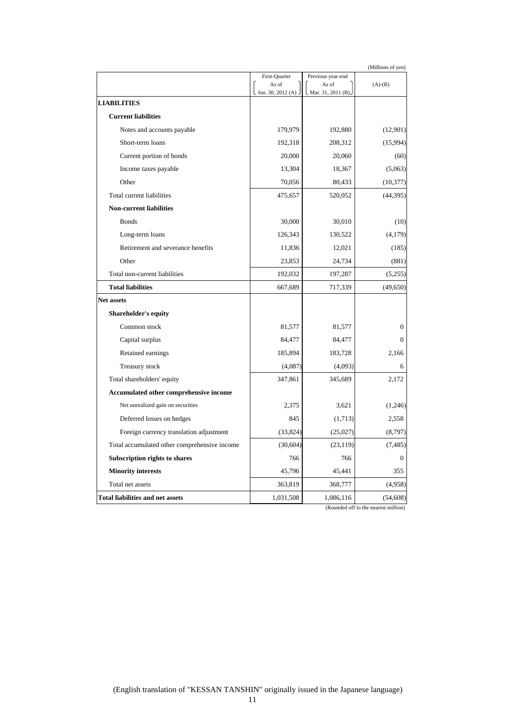| (Millions of yen)                            |                              |                             |              |
|----------------------------------------------|------------------------------|-----------------------------|--------------|
|                                              | First-Quarter                | Previous year-end           |              |
|                                              | As of<br>Jun. 30, 2012 $(A)$ | As of<br>Mar. 31, 2011 (B). | $(A)-(B)$    |
| <b>LIABILITIES</b>                           |                              |                             |              |
| <b>Current liabilities</b>                   |                              |                             |              |
| Notes and accounts payable                   | 179,979                      | 192,880                     | (12,901)     |
| Short-term loans                             | 192,318                      | 208,312                     | (15,994)     |
| Current portion of bonds                     | 20,000                       | 20,060                      | (60)         |
| Income taxes payable                         | 13,304                       | 18,367                      | (5,063)      |
| Other                                        | 70,056                       | 80,433                      | (10, 377)    |
| Total current liabilities                    | 475,657                      | 520,052                     | (44, 395)    |
| <b>Non-current liabilities</b>               |                              |                             |              |
| <b>Bonds</b>                                 | 30,000                       | 30,010                      | (10)         |
| Long-term loans                              | 126,343                      | 130,522                     | (4,179)      |
| Retirement and severance benefits            | 11,836                       | 12,021                      | (185)        |
| Other                                        | 23,853                       | 24,734                      | (881)        |
| Total non-current liabilities                | 192,032                      | 197,287                     | (5,255)      |
| <b>Total liabilities</b>                     | 667,689                      | 717,339                     | (49, 650)    |
| <b>Net assets</b>                            |                              |                             |              |
| <b>Shareholder's equity</b>                  |                              |                             |              |
| Common stock                                 | 81,577                       | 81,577                      | $\mathbf{0}$ |
| Capital surplus                              | 84,477                       | 84,477                      | 0            |
| Retained earnings                            | 185,894                      | 183,728                     | 2,166        |
| Treasury stock                               | (4,087)                      | (4,093)                     | 6            |
| Total shareholders' equity                   | 347,861                      | 345,689                     | 2,172        |
| Accumulated other comprehensive income       |                              |                             |              |
| Net unrealized gain on securities            | 2,375                        | 3,621                       | (1,246)      |
| Deferred losses on hedges                    | 845                          | (1,713)                     | 2,558        |
| Foreign currency translation adjustment      | (33,824)                     | (25,027)                    | (8,797)      |
| Total accumulated other comprehensive income | (30, 604)                    | (23, 119)                   | (7, 485)     |
| Subscription rights to shares                | 766                          | 766                         | $\mathbf{0}$ |
| <b>Minority interests</b>                    | 45,796                       | 45,441                      | 355          |
| Total net assets                             | 363,819                      | 368,777                     | (4,958)      |
| <b>Total liabilities and net assets</b>      | 1,031,508                    | 1,086,116                   | (54, 608)    |

(Rounded off to the nearest million)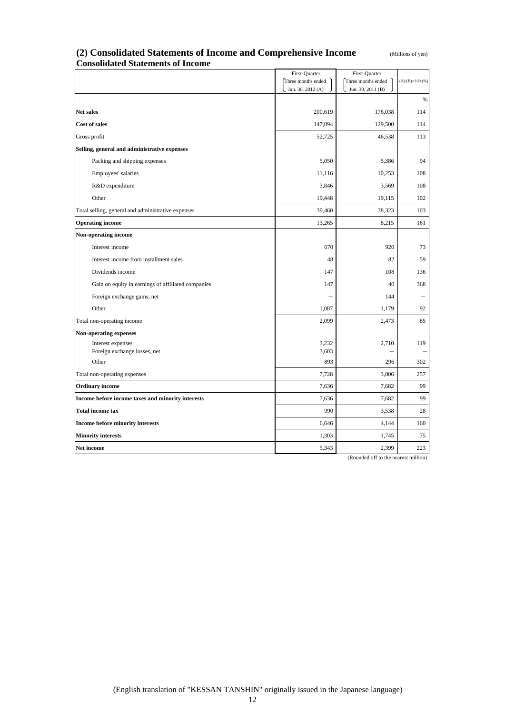#### **(2) Consolidated Statements of Income and Comprehensive Income** (Millions of yen) **Consolidated Statements of Income**

|                                                    | First-Quarter                           | First-Quarter                           |                        |
|----------------------------------------------------|-----------------------------------------|-----------------------------------------|------------------------|
|                                                    | Three months ended<br>Jun. 30, 2012 (A) | Three months ended<br>Jun. 30, 2011 (B) | $(A)/(B)\times 100(%)$ |
|                                                    |                                         |                                         | $\%$                   |
| Net sales                                          | 200,619                                 | 176,038                                 | 114                    |
| Cost of sales                                      | 147,894                                 | 129,500                                 | 114                    |
| Gross profit                                       | 52,725                                  | 46,538                                  | 113                    |
| Selling, general and administrative expenses       |                                         |                                         |                        |
| Packing and shipping expenses                      | 5,050                                   | 5,386                                   | 94                     |
| Employees' salaries                                | 11,116                                  | 10,253                                  | 108                    |
| R&D expenditure                                    | 3,846                                   | 3,569                                   | 108                    |
| Other                                              | 19,448                                  | 19,115                                  | 102                    |
| Total selling, general and administrative expenses | 39,460                                  | 38,323                                  | 103                    |
| <b>Operating income</b>                            | 13,265                                  | 8,215                                   | 161                    |
| Non-operating income                               |                                         |                                         |                        |
| Interest income                                    | 670                                     | 920                                     | 73                     |
| Interest income from installment sales             | 48                                      | 82                                      | 59                     |
| Dividends income                                   | 147                                     | 108                                     | 136                    |
| Gain on equity in earnings of affiliated companies | 147                                     | 40                                      | 368                    |
| Foreign exchange gains, net                        |                                         | 144                                     |                        |
| Other                                              | 1,087                                   | 1,179                                   | 92                     |
| Total non-operating income                         | 2,099                                   | 2,473                                   | 85                     |
| <b>Non-operating expenses</b>                      |                                         |                                         |                        |
| Interest expenses<br>Foreign exchange losses, net  | 3,232<br>3,603                          | 2,710                                   | 119                    |
| Other                                              | 893                                     | 296                                     | 302                    |
| Total non-operating expenses                       | 7,728                                   | 3,006                                   | 257                    |
| <b>Ordinary income</b>                             | 7,636                                   | 7,682                                   | 99                     |
| Income before income taxes and minority interests  | 7,636                                   | 7,682                                   | 99                     |
| <b>Total income tax</b>                            | 990                                     | 3,538                                   | 28                     |
| Income before minority interests                   | 6,646                                   | 4,144                                   | 160                    |
| <b>Minority interests</b>                          | 1,303                                   | 1,745                                   | 75                     |
| Net income                                         | 5,343                                   | 2,399                                   | 223                    |

(Rounded off to the nearest million)

12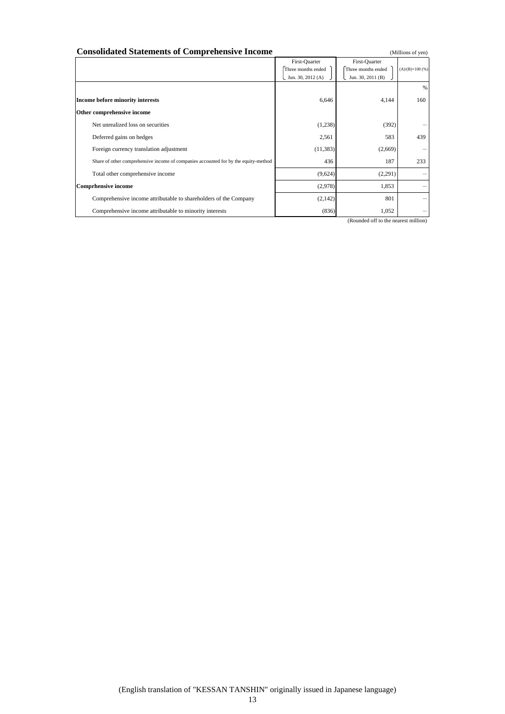| <b>Consolidated Statements of Comprehensive Income</b>                              |                                                          | (Millions of yen)                                        |                         |
|-------------------------------------------------------------------------------------|----------------------------------------------------------|----------------------------------------------------------|-------------------------|
|                                                                                     | First-Ouarter<br>Three months ended<br>Jun. 30, 2012 (A) | First-Quarter<br>Three months ended<br>Jun. 30, 2011 (B) | $(A)/(B)\times 100$ (%) |
| Income before minority interests                                                    | 6,646                                                    | 4,144                                                    | %<br>160                |
| Other comprehensive income                                                          |                                                          |                                                          |                         |
| Net unrealized loss on securities                                                   | (1,238)                                                  | (392)                                                    |                         |
| Deferred gains on hedges                                                            | 2,561                                                    | 583                                                      | 439                     |
| Foreign currency translation adjustment                                             | (11, 383)                                                | (2,669)                                                  |                         |
| Share of other comprehensive income of companies accounted for by the equity-method | 436                                                      | 187                                                      | 233                     |
| Total other comprehensive income                                                    | (9,624)                                                  | (2,291)                                                  |                         |
| <b>Comprhensive income</b>                                                          | (2,978)                                                  | 1,853                                                    |                         |
| Comprehensive income attributable to shareholders of the Company                    | (2,142)                                                  | 801                                                      |                         |
| Comprehensive income attributable to minority interests                             | (836)                                                    | 1,052                                                    |                         |

(Rounded off to the nearest million)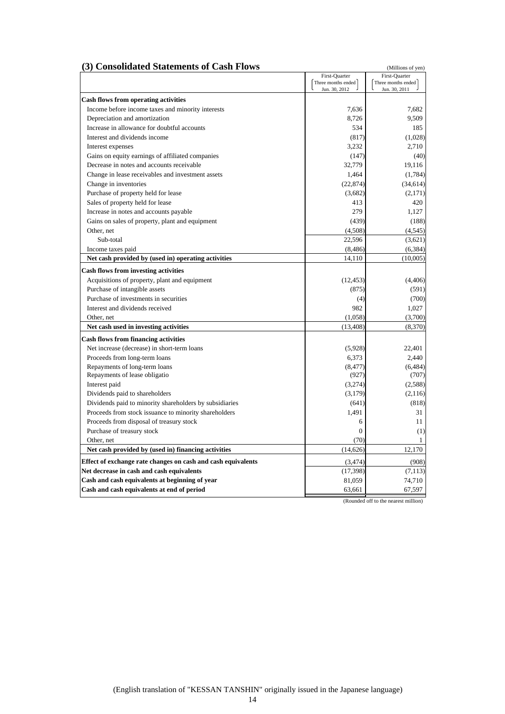#### **(3) Consolidated Statements of Cash Flows** (Millions of yen)

|                                                                                            | First-Quarter      | First-Quarter      |
|--------------------------------------------------------------------------------------------|--------------------|--------------------|
|                                                                                            | Three months ended | Three months ended |
|                                                                                            | Jun. 30, 2012      | Jun. 30, 2011      |
| <b>Cash flows from operating activities</b>                                                |                    |                    |
| Income before income taxes and minority interests                                          | 7,636              | 7,682              |
| Depreciation and amortization                                                              | 8.726              | 9,509              |
| Increase in allowance for doubtful accounts                                                | 534                | 185                |
| Interest and dividends income                                                              | (817)              | (1,028)            |
| Interest expenses                                                                          | 3,232              | 2,710              |
| Gains on equity earnings of affiliated companies                                           | (147)              | (40)               |
| Decrease in notes and accounts receivable                                                  | 32,779             | 19,116             |
| Change in lease receivables and investment assets                                          | 1,464              | (1,784)            |
| Change in inventories                                                                      | (22.874)           | (34, 614)          |
| Purchase of property held for lease                                                        | (3,682)            | (2,171)            |
| Sales of property held for lease                                                           | 413                | 420                |
| Increase in notes and accounts payable                                                     | 279                | 1,127              |
| Gains on sales of property, plant and equipment                                            | (439)              | (188)              |
| Other, net                                                                                 | (4,508)            | (4, 545)           |
| Sub-total                                                                                  | 22.596             | (3,621)            |
| Income taxes paid                                                                          | (8, 486)           | (6, 384)           |
| Net cash provided by (used in) operating activities                                        | 14,110             | (10,005)           |
| <b>Cash flows from investing activities</b>                                                |                    |                    |
| Acquisitions of property, plant and equipment                                              | (12, 453)          | (4,406)            |
| Purchase of intangible assets                                                              | (875)              | (591)              |
| Purchase of investments in securities                                                      | (4)                | (700)              |
| Interest and dividends received                                                            | 982                | 1,027              |
| Other, net                                                                                 | (1,058)            | (3,700)            |
| Net cash used in investing activities                                                      | (13, 408)          | (8,370)            |
|                                                                                            |                    |                    |
| <b>Cash flows from financing activities</b><br>Net increase (decrease) in short-term loans | (5,928)            | 22,401             |
|                                                                                            | 6,373              | 2.440              |
| Proceeds from long-term loans                                                              |                    |                    |
| Repayments of long-term loans<br>Repayments of lease obligatio                             | (8, 477)<br>(927)  | (6, 484)<br>(707)  |
| Interest paid                                                                              | (3,274)            | (2,588)            |
| Dividends paid to shareholders                                                             | (3.179)            | (2,116)            |
| Dividends paid to minority shareholders by subsidiaries                                    | (641)              | (818)              |
| Proceeds from stock issuance to minority shareholders                                      | 1.491              | 31                 |
| Proceeds from disposal of treasury stock                                                   | 6                  | 11                 |
| Purchase of treasury stock                                                                 | $\overline{0}$     | (1)                |
| Other, net                                                                                 | (70)               | $\mathbf{1}$       |
| Net cash provided by (used in) financing activities                                        | (14, 626)          | 12,170             |
| Effect of exchange rate changes on cash and cash equivalents                               | (3,474)            | (908)              |
| Net decrease in cash and cash equivalents                                                  | (17, 398)          | (7, 113)           |
| Cash and cash equivalents at beginning of year                                             | 81,059             | 74,710             |
| Cash and cash equivalents at end of period                                                 | 63,661             | 67,597             |
|                                                                                            |                    |                    |

(Rounded off to the nearest million)